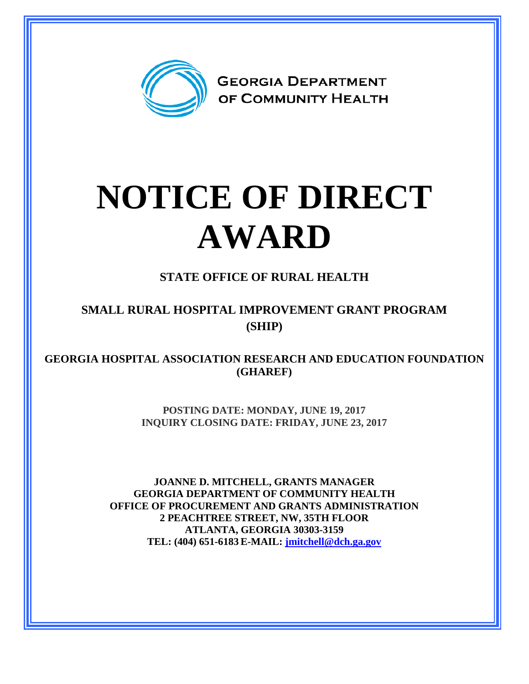

## **NOTICE OF DIRECT AWARD**

**STATE OFFICE OF RURAL HEALTH**

**SMALL RURAL HOSPITAL IMPROVEMENT GRANT PROGRAM (SHIP)**

**GEORGIA HOSPITAL ASSOCIATION RESEARCH AND EDUCATION FOUNDATION (GHAREF)**

> **POSTING DATE: MONDAY, JUNE 19, 2017 INQUIRY CLOSING DATE: FRIDAY, JUNE 23, 2017**

**JOANNE D. MITCHELL, GRANTS MANAGER GEORGIA DEPARTMENT OF COMMUNITY HEALTH OFFICE OF PROCUREMENT AND GRANTS ADMINISTRATION 2 PEACHTREE STREET, NW, 35TH FLOOR ATLANTA, GEORGIA 30303-3159 TEL: (404) 651-6183 E-MAIL: [jmitchell@dch.ga.gov](mailto:awatson@dch.ga.gov)**